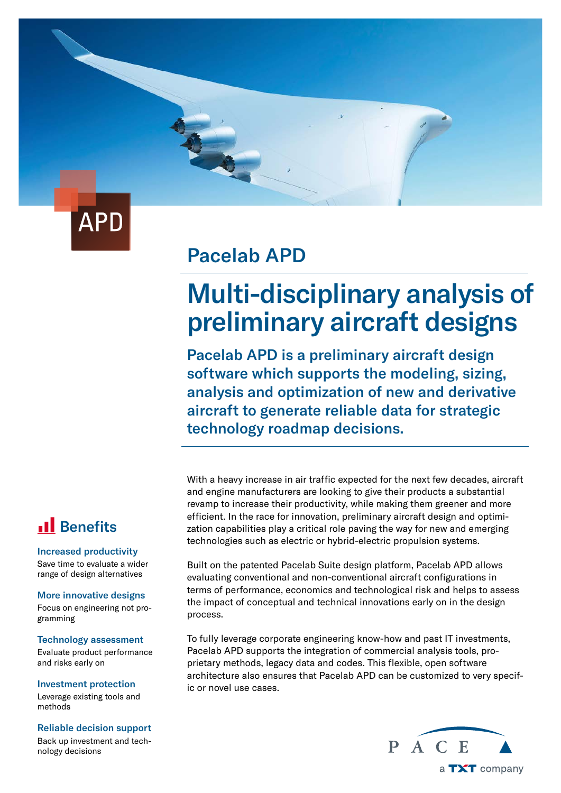

### Pacelab APD

# Multi-disciplinary analysis of preliminary aircraft designs

Pacelab APD is a preliminary aircraft design software which supports the modeling, sizing, analysis and optimization of new and derivative aircraft to generate reliable data for strategic technology roadmap decisions.

With a heavy increase in air traffic expected for the next few decades, aircraft and engine manufacturers are looking to give their products a substantial revamp to increase their productivity, while making them greener and more efficient. In the race for innovation, preliminary aircraft design and optimization capabilities play a critical role paving the way for new and emerging technologies such as electric or hybrid-electric propulsion systems.

Built on the patented Pacelab Suite design platform, Pacelab APD allows evaluating conventional and non-conventional aircraft configurations in terms of performance, economics and technological risk and helps to assess the impact of conceptual and technical innovations early on in the design process.

To fully leverage corporate engineering know-how and past IT investments, Pacelab APD supports the integration of commercial analysis tools, proprietary methods, legacy data and codes. This flexible, open software architecture also ensures that Pacelab APD can be customized to very specific or novel use cases.

### **Il** Benefits

#### Increased productivity

Save time to evaluate a wider range of design alternatives

#### More innovative designs

Focus on engineering not programming

#### Technology assessment

Evaluate product performance and risks early on

Investment protection Leverage existing tools and methods

#### Reliable decision support

Back up investment and technology decisions

P A C E a TXT company